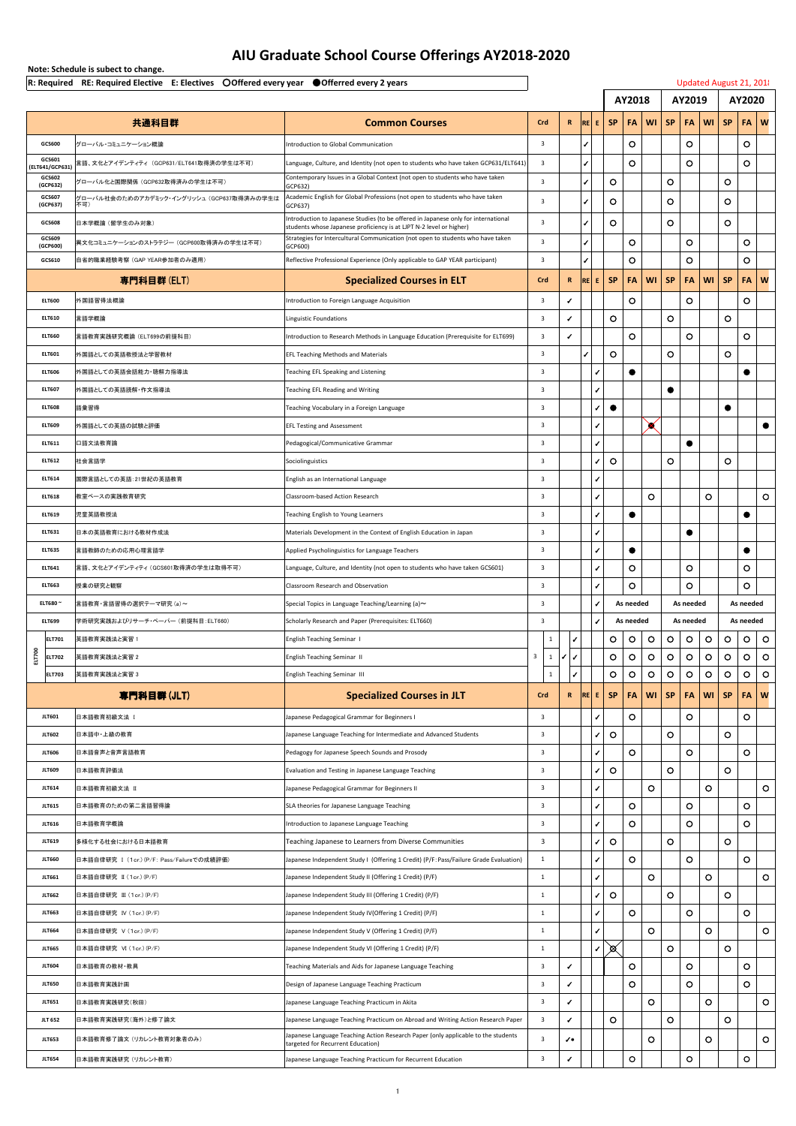**Note: Schedule is subect to change.**

|                              | $\vert$ R: Required RE: Required Elective E: Electives $\bigcirc$ Offered every year $\bigcirc$ Offerred every 2 years |                                                                                                                                                        |                    |             |                          |                |                          |                |                         |                         |                |                | Updated August 21, 201               |
|------------------------------|------------------------------------------------------------------------------------------------------------------------|--------------------------------------------------------------------------------------------------------------------------------------------------------|--------------------|-------------|--------------------------|----------------|--------------------------|----------------|-------------------------|-------------------------|----------------|----------------|--------------------------------------|
|                              |                                                                                                                        |                                                                                                                                                        |                    |             | <b>AY2018</b>            |                |                          | <b>AY2019</b>  |                         |                         | <b>AY2020</b>  |                |                                      |
|                              | 共通科目群                                                                                                                  | <b>Common Courses</b>                                                                                                                                  | Crd                | R           | RE E SP                  |                | FA                       | WI             | <b>SP</b>               | $ FA $ WI $ $           |                | <b>SP</b>      | <b>FA</b><br>$\mid W$                |
| <b>GCS600</b>                | グローバル・コミュニケーション概論                                                                                                      | <b>Introduction to Global Communication</b>                                                                                                            |                    |             |                          |                | $\bigcirc$               |                |                         | $\bigcirc$              |                |                | $\bigcirc$                           |
| GCS601<br>(ELT641/GCP631)    | 言語、文化とアイデンティティ (GCP631/ELT641取得済の学生は不可)                                                                                | Language, Culture, and Identity (not open to students who have taken GCP631/ELT641)                                                                    |                    |             |                          |                | $\bigcirc$               |                |                         | $\bigcirc$              |                |                | $\bigcirc$                           |
| <b>GCS602</b><br>(GCP632)    | グローバル化と国際関係(GCP632取得済みの学生は不可)                                                                                          | Contemporary Issues in a Global Context (not open to students who have taken<br> GCP632)                                                               |                    |             |                          | $\bigcirc$     |                          |                | $\overline{\mathsf{O}}$ |                         |                | $\bigcirc$     |                                      |
| <b>GCS607</b><br>(GCP637)    | グローバル社会のためのアカデミック・イングリッシュ (GCP637取得済みの学生は<br>不可)                                                                       | Academic English for Global Professions (not open to students who have taken<br> GCP637)                                                               |                    |             |                          | $\bigcirc$     |                          |                | $\overline{\mathsf{O}}$ |                         |                | $\bigcirc$     |                                      |
| <b>GCS608</b>                | 日本学概論 (留学生のみ対象)                                                                                                        | Introduction to Japanese Studies (to be offered in Japanese only for international                                                                     | 3                  |             |                          | $\bigcirc$     |                          |                | $\bigcirc$              |                         |                | $\bigcirc$     |                                      |
| GCS609                       | 異文化コミュニケーションのストラテジー (GCP600取得済みの学生は不可)                                                                                 | students whose Japanese proficiency is at LJPT N-2 level or higher)<br>Strategies for Intercultural Communication (not open to students who have taken |                    |             |                          |                | $\bigcirc$               |                |                         | $\overline{O}$          |                |                | $\bigcirc$                           |
| (GCP600)<br><b>GCS610</b>    | 自省的職業経験考察 (GAP YEAR参加者のみ適用)                                                                                            | GCP600)<br>Reflective Professional Experience (Only applicable to GAP YEAR participant)                                                                | 3                  |             |                          |                | $\bigcirc$               |                |                         | $\bigcirc$              |                |                | $\bigcirc$                           |
|                              | 専門科目群(ELT)                                                                                                             | <b>Specialized Courses in ELT</b>                                                                                                                      | <b>Crd</b>         | $\mathbf R$ | RE E SP                  |                | <b>FA</b>                | <b>WI</b>      | SP                      | FAWISP                  |                |                | $\blacksquare$<br>FA                 |
| <b>ELT600</b>                | 外国語習得法概論                                                                                                               | Introduction to Foreign Language Acquisition                                                                                                           |                    |             |                          |                | $\bigcirc$               |                |                         | $\overline{O}$          |                |                | $\bigcirc$                           |
| <b>ELT610</b>                | 言語学概論                                                                                                                  | Linguistic Foundations                                                                                                                                 | 3                  |             |                          | $\bigcirc$     |                          |                | $\overline{O}$          |                         |                | $\overline{O}$ |                                      |
| <b>ELT660</b>                | 言語教育実践研究概論 (ELT699の前提科目)                                                                                               | Introduction to Research Methods in Language Education (Prerequisite for ELT699)                                                                       | $\overline{3}$     |             |                          |                | $\bigcirc$               |                |                         | $\bigcirc$              |                |                | $\bigcirc$                           |
| <b>ELT601</b>                |                                                                                                                        |                                                                                                                                                        |                    |             |                          | $\bigcirc$     |                          |                | $\overline{O}$          |                         |                | $\overline{O}$ |                                      |
| <b>ELT606</b>                | 外国語としての英語教授法と学習教材                                                                                                      | <b>EFL Teaching Methods and Materials</b>                                                                                                              |                    |             | $\checkmark$             |                |                          |                |                         |                         |                |                |                                      |
| <b>ELT607</b>                | 外国語としての英語会話能力・聴解力指導法 <br> 外国語としての英語読解・作文指導法                                                                            | Teaching EFL Speaking and Listening<br>Teaching EFL Reading and Writing                                                                                |                    |             | $\sqrt{2}$               |                |                          |                |                         |                         |                |                |                                      |
| <b>ELT608</b>                | 語彙習得                                                                                                                   | Teaching Vocabulary in a Foreign Language                                                                                                              |                    |             | $\checkmark$             |                |                          |                |                         |                         |                |                |                                      |
| <b>ELT609</b>                | 外国語としての英語の試験と評価                                                                                                        |                                                                                                                                                        | <u>ා</u><br>3      |             | $\sqrt{2}$               |                |                          |                |                         |                         |                |                |                                      |
| <b>ELT611</b>                | 口語文法教育論                                                                                                                | <b>EFL Testing and Assessment</b>                                                                                                                      |                    |             | $\sqrt{2}$               |                |                          |                |                         |                         |                |                |                                      |
| <b>ELT612</b>                | 社会言語学                                                                                                                  | Pedagogical/Communicative Grammar                                                                                                                      |                    |             | $\sqrt{2}$               | $\overline{O}$ |                          |                | $\overline{O}$          |                         |                | $\overline{O}$ |                                      |
| <b>ELT614</b>                | 国際言語としての英語:21世紀の英語教育                                                                                                   | Sociolinguistics                                                                                                                                       |                    |             | $\checkmark$             |                |                          |                |                         |                         |                |                |                                      |
| <b>ELT618</b>                | 教室ベースの実践教育研究                                                                                                           | English as an International Language<br>Classroom-based Action Research                                                                                |                    |             | $\checkmark$             |                |                          | $\overline{O}$ |                         |                         |                |                | $\bigcirc$                           |
| <b>ELT619</b>                |                                                                                                                        |                                                                                                                                                        |                    |             |                          |                |                          |                |                         |                         |                |                |                                      |
| <b>ELT631</b>                | 児童英語教授法                                                                                                                | <b>Teaching English to Young Learners</b>                                                                                                              |                    |             | $\sqrt{2}$               |                |                          |                |                         |                         |                |                |                                      |
| <b>ELT635</b>                | 日本の英語教育における教材作成法                                                                                                       | Materials Development in the Context of English Education in Japan                                                                                     |                    |             | $\overline{\mathcal{L}}$ |                |                          |                |                         |                         |                |                |                                      |
| <b>ELT641</b>                | 言語教師のための応用心理言語学<br>言語、文化とアイデンティティ (GCS601取得済の学生は取得不可)                                                                  | Applied Psycholinguistics for Language Teachers                                                                                                        | 3                  |             | $\sqrt{2}$               |                | $\bigcirc$               |                |                         | $\bigcirc$              |                |                | $\bigcirc$                           |
| <b>ELT663</b>                | 授業の研究と観察                                                                                                               | Language, Culture, and Identity (not open to students who have taken GCS601)<br><b>Classroom Research and Observation</b>                              |                    |             | $\checkmark$             |                | $\bigcirc$               |                |                         |                         |                |                | $\bigcirc$                           |
| <b>ELT680~</b>               | 言語教育・言語習得の選択テーマ研究 (a) ~                                                                                                | Special Topics in Language Teaching/Learning (a) $\sim$                                                                                                | ್ರ                 |             |                          |                | As needed                |                |                         | $\bigcirc$<br>As needed |                |                | As needed                            |
| <b>ELT699</b>                | 学術研究実践およびリサーチ・ペーパー (前提科目:ELT660)                                                                                       | Scholarly Research and Paper (Prerequisites: ELT660)                                                                                                   |                    |             |                          |                | As needed                |                |                         | As needed               |                |                | As needed                            |
| <b>ELT701</b>                | 英語教育実践法と実習 1                                                                                                           | <b>English Teaching Seminar I</b>                                                                                                                      | ್ರ<br>$\mathbf{1}$ |             |                          | $\bigcirc$     | $\overline{O}$           | $\overline{O}$ | $\overline{O}$          | $\bigcirc$              | $\bigcirc$     | $\bigcirc$     | $\bigcirc$<br>$\bigcirc$             |
| <b>T700</b><br><b>ELT702</b> | 英語教育実践法と実習 2                                                                                                           | <b>English Teaching Seminar II</b>                                                                                                                     | $\overline{3}$     |             |                          | $\bigcirc$     | $\overline{O}$           | $\bigcirc$     | $\overline{O}$          | $\overline{O}$          | $\overline{O}$ | $\bigcirc$     | $\bigcirc$<br>$\bigcirc$             |
| 룹<br><b>ELT703</b>           | 英語教育実践法と実習 3                                                                                                           | <b>English Teaching Seminar III</b>                                                                                                                    |                    |             |                          | $\bigcirc$     | $\bigcirc$               | $\bigcirc$     | $\bigcirc$              | $\overline{O}$          | $\overline{O}$ | $\bigcirc$     | $\bigcirc$<br>$\bigcirc$             |
|                              |                                                                                                                        |                                                                                                                                                        | Crd                | R           | RE E                     | <b>SP</b>      | <b>FA</b>                | <b>WI</b>      | <b>SP</b>               | FA                      | W1             | <b>SP</b>      | <b>FA</b><br>$\overline{\mathsf{w}}$ |
|                              | 専門科目群(JLT)                                                                                                             | <b>Specialized Courses in JLT</b>                                                                                                                      |                    |             |                          |                |                          |                |                         |                         |                |                |                                      |
| <b>JLT601</b>                | │日本語教育初級文法 Ⅰ                                                                                                           | Japanese Pedagogical Grammar for Beginners I                                                                                                           |                    |             | $\checkmark$             |                | $\overline{O}$           |                |                         | $\bigcirc$              |                |                | $\bigcirc$                           |
| <b>JLT602</b>                | 日本語中・上級の教育                                                                                                             | Japanese Language Teaching for Intermediate and Advanced Students                                                                                      | 3                  |             | $\sqrt{2}$               | $\bigcirc$     | $\sim$                   |                | $\bigcirc$              | $\sim$                  |                | $\bigcirc$     | $\sim$                               |
| <b>JLT606</b>                | 日本語音声と音声言語教育                                                                                                           | Pedagogy for Japanese Speech Sounds and Prosody                                                                                                        |                    |             | $\checkmark$             |                | <b>U</b>                 |                |                         | $\bigcup$               |                |                | $\cup$                               |
| <b>JLT609</b>                | 日本語教育評価法                                                                                                               | Evaluation and Testing in Japanese Language Teaching                                                                                                   |                    |             | $\mathcal{L}$            | $\overline{O}$ |                          |                | $\bigcirc$              |                         |                | $\bigcirc$     |                                      |
| <b>JLT614</b>                | 日本語教育初級文法 Ⅱ                                                                                                            | Japanese Pedagogical Grammar for Beginners II                                                                                                          |                    |             |                          |                |                          | $\overline{O}$ |                         |                         |                |                | $\bigcirc$                           |
| <b>JLT615</b>                | 日本語教育のための第二言語習得論                                                                                                       | SLA theories for Japanese Language Teaching                                                                                                            | 3                  |             | $\sqrt{2}$               |                | $\bigcirc$               |                |                         | $\overline{O}$          |                |                | $\bigcirc$                           |
| <b>JLT616</b>                | 日本語教育学概論                                                                                                               | Introduction to Japanese Language Teaching                                                                                                             |                    |             | $\sqrt{2}$               |                | $\bigcirc$               |                |                         | $\bigcirc$              |                |                | $\bigcirc$                           |
| <b>JLT619</b>                | 多様化する社会における日本語教育                                                                                                       | Teaching Japanese to Learners from Diverse Communities                                                                                                 |                    |             | $\sqrt{2}$               | $\bigcirc$     |                          |                | $\bigcirc$              |                         |                | $\overline{O}$ |                                      |
| <b>JLT660</b>                | 日本語自律研究 I (1cr.)(P/F: Pass/Failureでの成績評価)                                                                              | Japanese Independent Study I (Offering 1 Credit) (P/F: Pass/Failure Grade Evaluation)                                                                  |                    |             |                          |                | $\bigcirc$               |                |                         | $\bigcirc$              |                |                | $\overline{O}$                       |
| <b>JLT661</b>                | 日本語自律研究 II (1cr.)(P/F)                                                                                                 | Japanese Independent Study II (Offering 1 Credit) (P/F)                                                                                                |                    |             | $\sqrt{2}$               |                |                          | $\overline{O}$ |                         |                         |                |                | $\bigcirc$                           |
| <b>JLT662</b>                | 日本語自律研究 III (1cr.)(P/F)                                                                                                | Japanese Independent Study III (Offering 1 Credit) (P/F)                                                                                               |                    |             | $\checkmark$             | $\overline{O}$ |                          |                | $\bigcirc$              |                         |                | $\bigcirc$     |                                      |
| <b>JLT663</b>                | 日本語自律研究 IV (1cr.)(P/F)                                                                                                 | Japanese Independent Study IV (Offering 1 Credit) (P/F)                                                                                                |                    |             |                          |                | $\bigcirc$               |                |                         | $\bigcirc$              |                |                | $\bigcirc$                           |
| <b>JLT664</b>                | 日本語自律研究 V (1cr.)(P/F)                                                                                                  | Japanese Independent Study V (Offering 1 Credit) (P/F)                                                                                                 |                    |             |                          |                |                          | $\overline{O}$ |                         |                         | $\bigcirc$     |                | $\bigcirc$                           |
| <b>JLT665</b>                | 日本語自律研究 VI (1cr.)(P/F)                                                                                                 | Japanese Independent Study VI (Offering 1 Credit) (P/F)                                                                                                |                    |             |                          | $\bigotimes$   |                          |                | $\bigcirc$              |                         |                | $\bigcirc$     |                                      |
| <b>JLT604</b>                | 日本語教育の教材・教具                                                                                                            | Teaching Materials and Aids for Japanese Language Teaching                                                                                             | 3                  |             |                          |                | $\bigcirc$<br>$\bigcirc$ |                |                         | $\bigcirc$              |                |                | $\bigcirc$                           |
| <b>JLT650</b>                | 日本語教育実践計画                                                                                                              | Design of Japanese Language Teaching Practicum                                                                                                         | 3                  |             |                          |                |                          |                |                         | $\bigcirc$              |                |                | $\bigcirc$                           |
| <b>JLT651</b>                | 日本語教育実践研究(秋田)                                                                                                          | Japanese Language Teaching Practicum in Akita                                                                                                          |                    |             |                          |                |                          | $\overline{O}$ |                         |                         | $\bigcirc$     |                | $\bigcirc$                           |

## **AIU Graduate School Course Offerings AY2018-2020**

| <b>JLT 652</b> | 日本語教育実践研究(海外)と修了論文       | Japanese Language Teaching Practicum on Abroad and Writing Action Research Paper                                       |  | $\bigcap$<br>$\overline{\phantom{a}}$ | $\tilde{\phantom{a}}$ |  |                |
|----------------|--------------------------|------------------------------------------------------------------------------------------------------------------------|--|---------------------------------------|-----------------------|--|----------------|
| <b>JLT653</b>  | 日本語教育修了論文 (リカレント教育対象者のみ) | Japanese Language Teaching Action Research Paper (only applicable to the students<br>targeted for Recurrent Education) |  |                                       |                       |  | $\overline{O}$ |
| <b>JLT654</b>  | 日本語教育実践研究 (リカレント教育)      | Japanese Language Teaching Practicum for Recurrent Education                                                           |  | $\sqrt{ }$                            |                       |  |                |

1